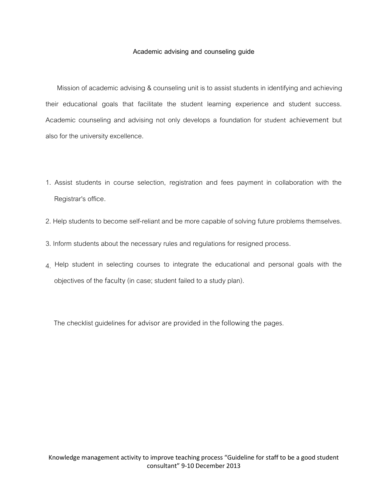## Academic advising and counseling guide

Mission of academic advising & counseling unit is to assist students in identifying and achieving their educational goals that facilitate the student learning experience and student success. Academic counseling and advising not only develops a foundation for student achievement but also for the university excellence.

- 1. Assist students in course selection, registration and fees payment in collaboration with the Registrar's office.
- 2. Help students to become self-reliant and be more capable of solving future problems themselves.
- 3. Inform students about the necessary rules and regulations for resigned process.
- $4$ . Help student in selecting courses to integrate the educational and personal goals with the objectives of the faculty (in case; student failed to a study plan).

The checklist guidelines for advisor are provided in the following the pages.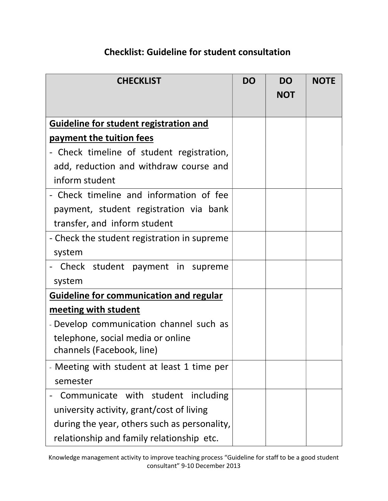## Checklist: Guideline for student consul**tation**

| <b>CHECKLIST</b>                               | <b>DO</b> | <b>DO</b><br><b>NOT</b> | <b>NOTE</b> |
|------------------------------------------------|-----------|-------------------------|-------------|
|                                                |           |                         |             |
| <b>Guideline for student registration and</b>  |           |                         |             |
| payment the tuition fees                       |           |                         |             |
| Check timeline of student registration,        |           |                         |             |
| add, reduction and withdraw course and         |           |                         |             |
| inform student                                 |           |                         |             |
| - Check timeline and information of fee        |           |                         |             |
| payment, student registration via bank         |           |                         |             |
| transfer, and inform student                   |           |                         |             |
| - Check the student registration in supreme    |           |                         |             |
| system                                         |           |                         |             |
| Check student payment in supreme               |           |                         |             |
| system                                         |           |                         |             |
| <b>Guideline for communication and regular</b> |           |                         |             |
| meeting with student                           |           |                         |             |
| - Develop communication channel such as        |           |                         |             |
| telephone, social media or online              |           |                         |             |
| channels (Facebook, line)                      |           |                         |             |
| - Meeting with student at least 1 time per     |           |                         |             |
| semester                                       |           |                         |             |
| Communicate with student including             |           |                         |             |
| university activity, grant/cost of living      |           |                         |             |
| during the year, others such as personality,   |           |                         |             |
| relationship and family relationship etc.      |           |                         |             |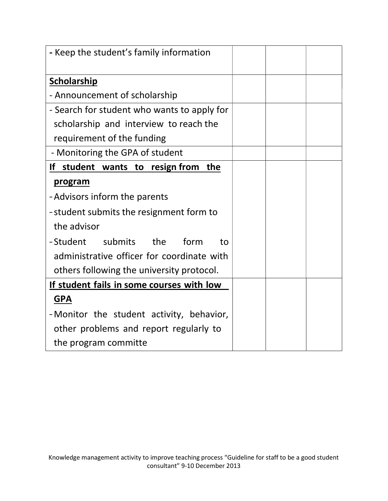| - Keep the student's family information     |  |  |
|---------------------------------------------|--|--|
|                                             |  |  |
| <b>Scholarship</b>                          |  |  |
| - Announcement of scholarship               |  |  |
| - Search for student who wants to apply for |  |  |
| scholarship and interview to reach the      |  |  |
| requirement of the funding                  |  |  |
| - Monitoring the GPA of student             |  |  |
| If student wants to resign from<br>the      |  |  |
| program                                     |  |  |
| -Advisors inform the parents                |  |  |
| -student submits the resignment form to     |  |  |
| the advisor                                 |  |  |
| -Student<br>submits<br>the<br>form<br>to    |  |  |
| administrative officer for coordinate with  |  |  |
| others following the university protocol.   |  |  |
| If student fails in some courses with low   |  |  |
| <b>GPA</b>                                  |  |  |
| -Monitor the student activity, behavior,    |  |  |
| other problems and report regularly to      |  |  |
| the program committe                        |  |  |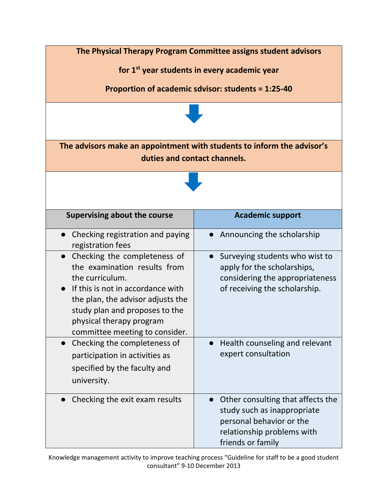

Knowledge management activity to improve teaching process "Guideline for staff to be a good student consultant" 9-10 December 2013